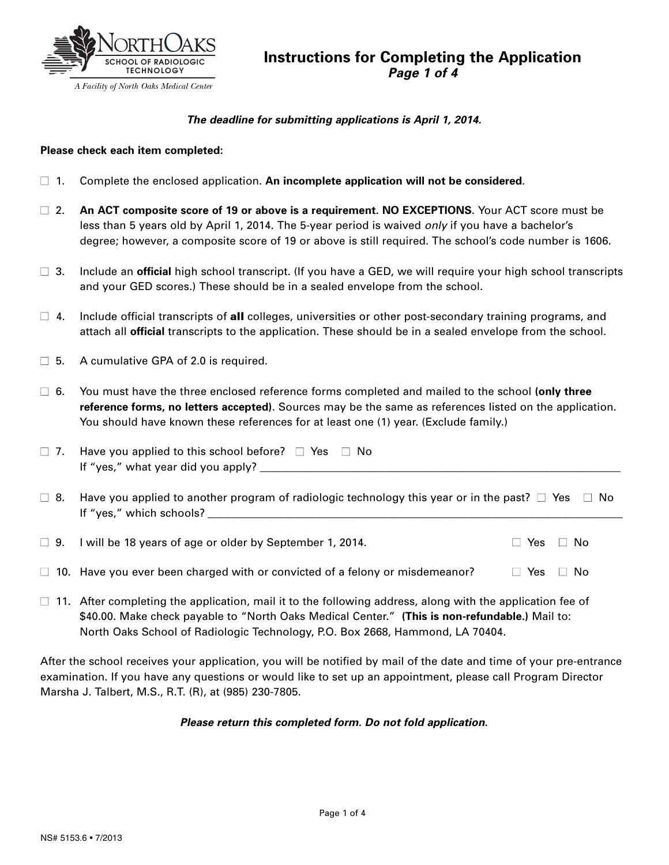

### *The deadline for submitting applications is April 1, 2014.*

#### **Please check each item completed:**

- **■** 1. Complete the enclosed application. **An incomplete application will not be considered**.
- **■** 2. **An ACT composite score of 19 or above is a requirement. NO EXCEPTIONS**. Your ACT score must be less than 5 years old by April 1, 2014. The 5-year period is waived *only* if you have a bachelor's degree; however, a composite score of 19 or above is still required. The school's code number is 1606.
- **■** 3. Include an **official** high school transcript. (If you have a GED, we will require your high school transcripts and your GED scores.) These should be in a sealed envelope from the school.
- 4. Include official transcripts of **all** colleges, universities or other post-secondary training programs, and attach all **official** transcripts to the application. These should be in a sealed envelope from the school.
- □ 5. A cumulative GPA of 2.0 is required.
- **■** 6. You must have the three enclosed reference forms completed and mailed to the school **(only three reference forms, no letters accepted)**. Sources may be the same as references listed on the application. You should have known these references for at least one (1) year. (Exclude family.)
- **■** 7. Have you applied to this school before? **■** Yes **■** No If "yes," what year did you apply? \_\_\_\_\_\_\_\_\_\_\_\_\_\_\_\_\_\_\_\_\_\_\_\_\_\_\_\_\_\_\_\_\_\_\_\_\_\_\_\_\_\_\_\_\_\_\_\_\_\_\_\_\_\_\_\_\_\_\_\_\_\_\_\_\_\_
- **■** 8. Have you applied to another program of radiologic technology this year or in the past? **■** Yes **■** No If "yes," which schools? \_\_\_\_\_\_\_\_\_\_\_\_\_\_\_\_\_\_\_\_\_\_\_\_\_\_\_\_\_\_\_\_\_\_\_\_\_\_\_\_\_\_\_\_\_\_\_\_\_\_\_\_\_\_\_\_\_\_\_\_\_\_\_\_\_\_\_\_\_\_\_\_\_\_\_\_

**■** 9. I will be 18 years of age or older by September 1, 2014. **■** Yes **■** No

- **■** 10. Have you ever been charged with or convicted of a felony or misdemeanor? **■** Yes **■** No
- **■** 11. After completing the application, mail it to the following address, along with the application fee of \$40.00. Make check payable to "North Oaks Medical Center." **(This is non-refundable.)** Mail to: North Oaks School of Radiologic Technology, P.O. Box 2668, Hammond, LA 70404.

After the school receives your application, you will be notified by mail of the date and time of your pre-entrance examination. If you have any questions or would like to set up an appointment, please call Program Director Marsha J. Talbert, M.S., R.T. (R), at (985) 230-7805.

### *Please return this completed form. Do not fold application.*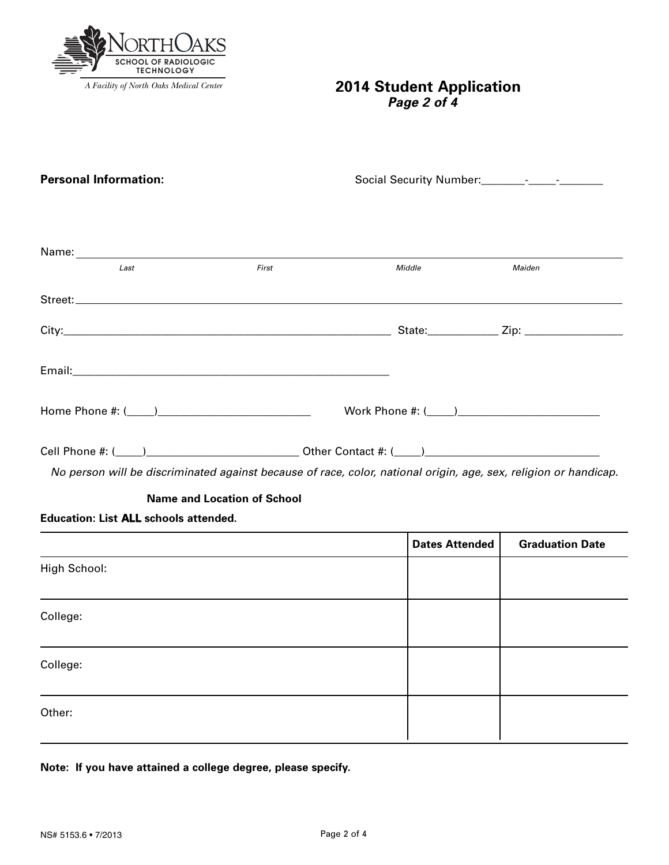

# **2014 Student Application** *Page 2 of 4*

| <b>Personal Information:</b>                 |                                                                                                                  |        |        |  |
|----------------------------------------------|------------------------------------------------------------------------------------------------------------------|--------|--------|--|
|                                              |                                                                                                                  |        |        |  |
|                                              |                                                                                                                  |        |        |  |
|                                              |                                                                                                                  |        |        |  |
| Last                                         | First                                                                                                            | Middle | Maiden |  |
|                                              |                                                                                                                  |        |        |  |
|                                              |                                                                                                                  |        |        |  |
|                                              |                                                                                                                  |        |        |  |
|                                              |                                                                                                                  |        |        |  |
|                                              |                                                                                                                  |        |        |  |
|                                              | No person will be discriminated against because of race, color, national origin, age, sex, religion or handicap. |        |        |  |
|                                              | <b>Name and Location of School</b>                                                                               |        |        |  |
| <b>Education: List ALL schools attended.</b> |                                                                                                                  |        |        |  |
|                                              |                                                                                                                  |        |        |  |

|              | <b>Dates Attended</b> | <b>Graduation Date</b> |
|--------------|-----------------------|------------------------|
| High School: |                       |                        |
| College:     |                       |                        |
| College:     |                       |                        |
| Other:       |                       |                        |

**Note: If you have attained a college degree, please specify.**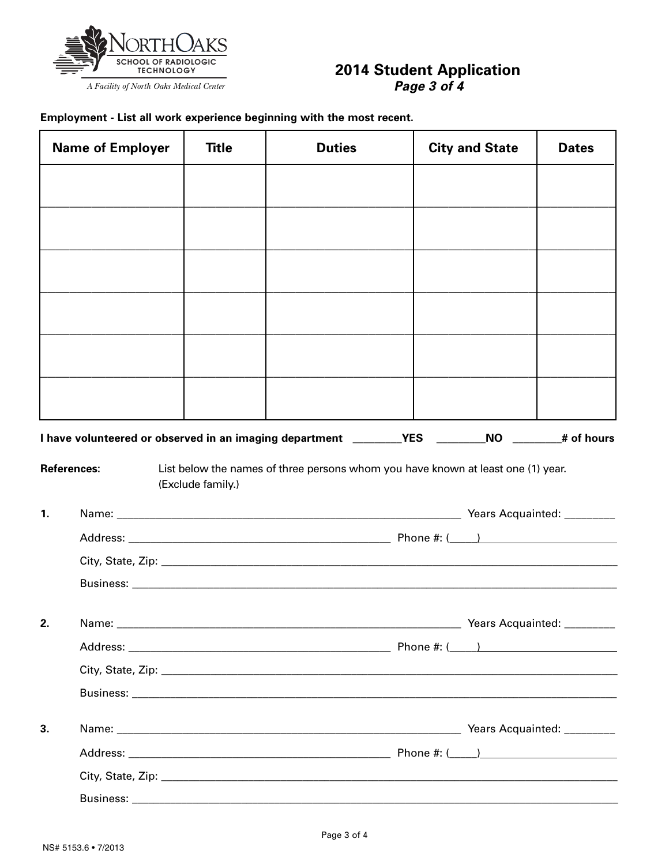

# 2014 Student Application<br>Page 3 of 4

Employment - List all work experience beginning with the most recent.

|                | <b>Name of Employer</b> | <b>Title</b>      | <b>Duties</b>                                                                                     | <b>City and State</b> | <b>Dates</b> |
|----------------|-------------------------|-------------------|---------------------------------------------------------------------------------------------------|-----------------------|--------------|
|                |                         |                   |                                                                                                   |                       |              |
|                |                         |                   |                                                                                                   |                       |              |
|                |                         |                   |                                                                                                   |                       |              |
|                |                         |                   |                                                                                                   |                       |              |
|                |                         |                   |                                                                                                   |                       |              |
|                |                         |                   |                                                                                                   |                       |              |
|                |                         |                   |                                                                                                   |                       |              |
|                |                         |                   |                                                                                                   |                       |              |
|                |                         |                   |                                                                                                   |                       |              |
|                |                         |                   |                                                                                                   |                       |              |
|                |                         |                   | I have volunteered or observed in an imaging department _________YES ________NO _______# of hours |                       |              |
|                | <b>References:</b>      | (Exclude family.) | List below the names of three persons whom you have known at least one (1) year.                  |                       |              |
| $\mathbf{1}$ . |                         |                   |                                                                                                   |                       |              |
|                |                         |                   |                                                                                                   |                       |              |
|                |                         |                   |                                                                                                   |                       |              |
|                |                         |                   |                                                                                                   |                       |              |
| 2.             |                         |                   |                                                                                                   |                       |              |
|                |                         |                   |                                                                                                   |                       |              |
|                |                         |                   |                                                                                                   |                       |              |
|                |                         |                   |                                                                                                   |                       |              |
| 3.             |                         |                   |                                                                                                   |                       |              |
|                |                         |                   |                                                                                                   |                       |              |
|                |                         |                   |                                                                                                   |                       |              |
|                |                         |                   |                                                                                                   |                       |              |